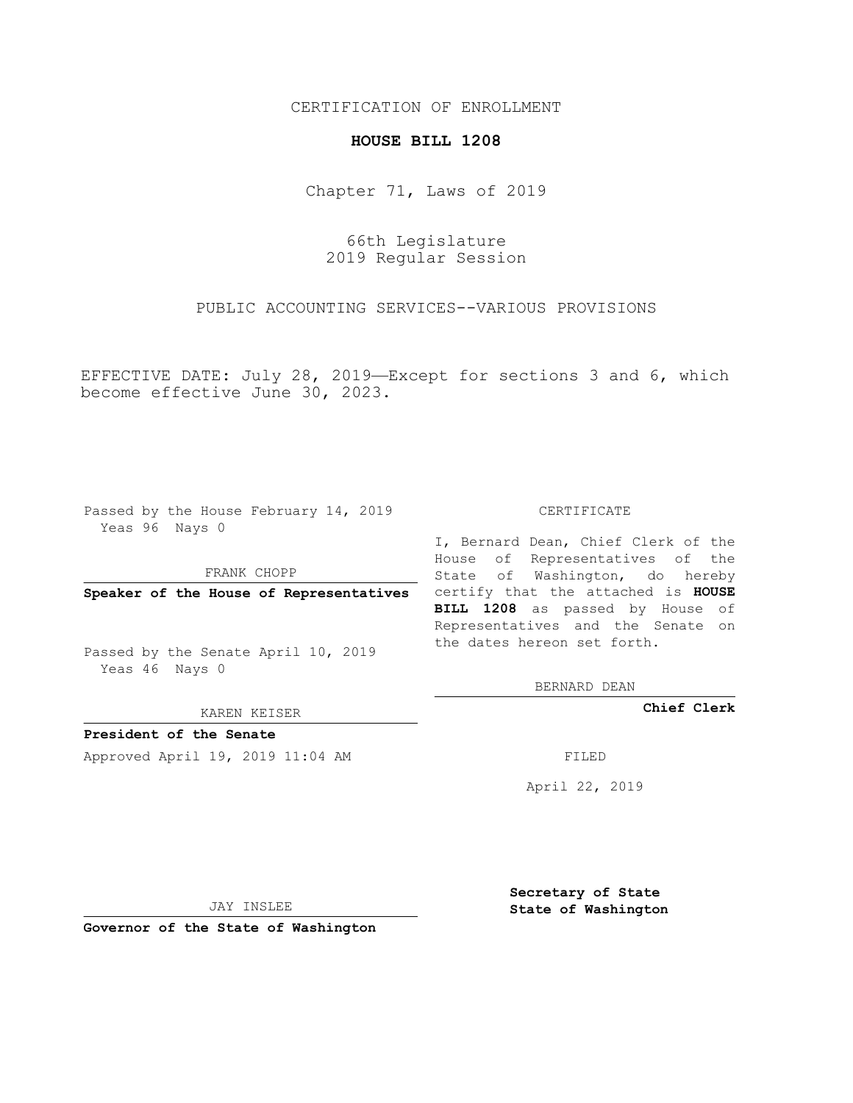## CERTIFICATION OF ENROLLMENT

## **HOUSE BILL 1208**

Chapter 71, Laws of 2019

66th Legislature 2019 Regular Session

PUBLIC ACCOUNTING SERVICES--VARIOUS PROVISIONS

EFFECTIVE DATE: July 28, 2019—Except for sections 3 and 6, which become effective June 30, 2023.

Passed by the House February 14, 2019 Yeas 96 Nays 0

FRANK CHOPP

Passed by the Senate April 10, 2019 Yeas 46 Nays 0

KAREN KEISER

**President of the Senate**

Approved April 19, 2019 11:04 AM FILED

## CERTIFICATE

**Speaker of the House of Representatives** certify that the attached is **HOUSE** I, Bernard Dean, Chief Clerk of the House of Representatives of the State of Washington, do hereby **BILL 1208** as passed by House of Representatives and the Senate on the dates hereon set forth.

BERNARD DEAN

**Chief Clerk**

April 22, 2019

JAY INSLEE

**Governor of the State of Washington**

**Secretary of State State of Washington**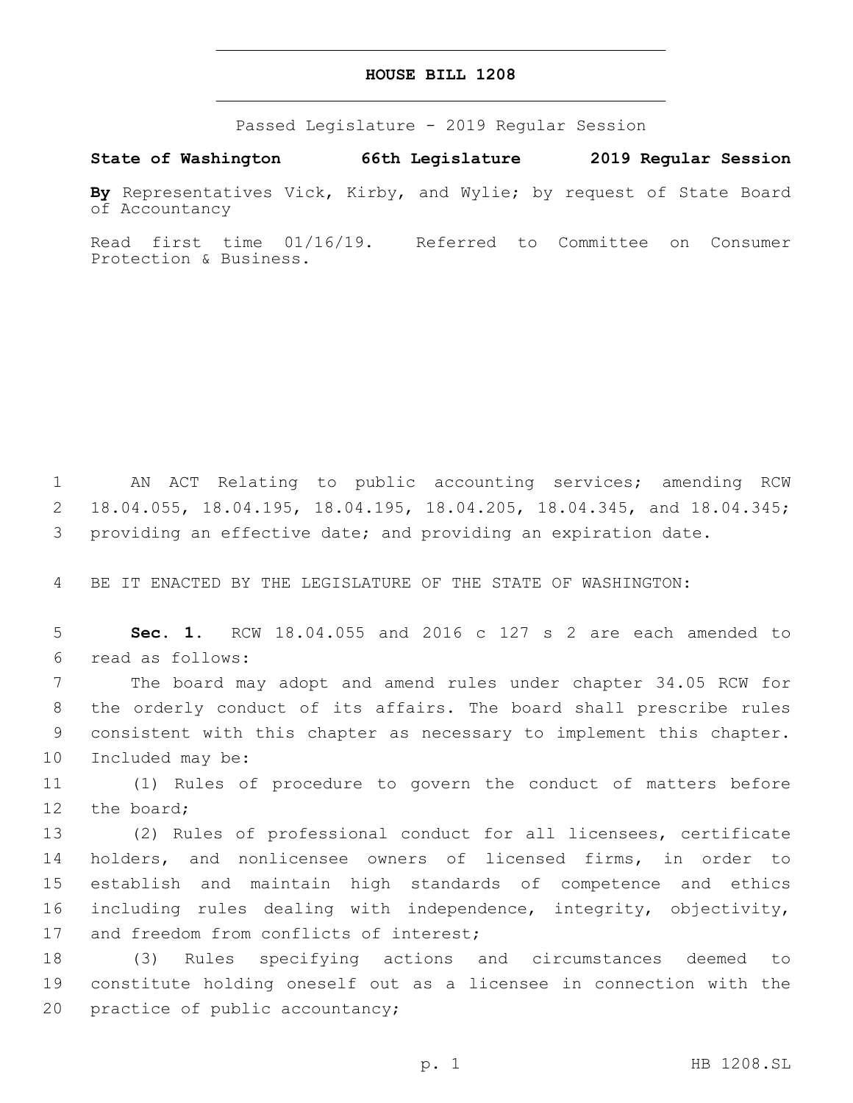## **HOUSE BILL 1208**

Passed Legislature - 2019 Regular Session

**State of Washington 66th Legislature 2019 Regular Session**

**By** Representatives Vick, Kirby, and Wylie; by request of State Board of Accountancy

Read first time 01/16/19. Referred to Committee on Consumer Protection & Business.

1 AN ACT Relating to public accounting services; amending RCW 2 18.04.055, 18.04.195, 18.04.195, 18.04.205, 18.04.345, and 18.04.345; 3 providing an effective date; and providing an expiration date.

4 BE IT ENACTED BY THE LEGISLATURE OF THE STATE OF WASHINGTON:

5 **Sec. 1.** RCW 18.04.055 and 2016 c 127 s 2 are each amended to read as follows:6

 The board may adopt and amend rules under chapter 34.05 RCW for the orderly conduct of its affairs. The board shall prescribe rules consistent with this chapter as necessary to implement this chapter. 10 Included may be:

11 (1) Rules of procedure to govern the conduct of matters before 12 the board;

 (2) Rules of professional conduct for all licensees, certificate holders, and nonlicensee owners of licensed firms, in order to establish and maintain high standards of competence and ethics including rules dealing with independence, integrity, objectivity, 17 and freedom from conflicts of interest;

18 (3) Rules specifying actions and circumstances deemed to 19 constitute holding oneself out as a licensee in connection with the 20 practice of public accountancy;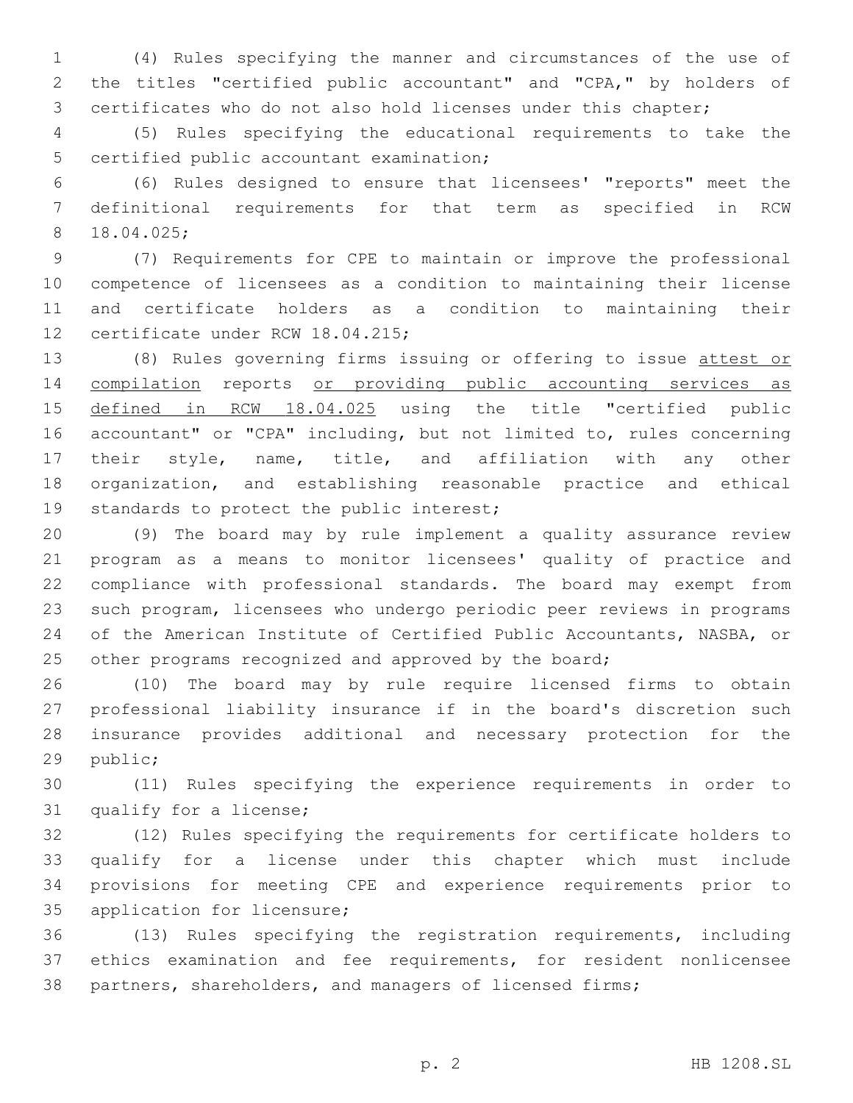(4) Rules specifying the manner and circumstances of the use of the titles "certified public accountant" and "CPA," by holders of certificates who do not also hold licenses under this chapter;

 (5) Rules specifying the educational requirements to take the 5 certified public accountant examination;

 (6) Rules designed to ensure that licensees' "reports" meet the definitional requirements for that term as specified in RCW 18.04.025;8

 (7) Requirements for CPE to maintain or improve the professional competence of licensees as a condition to maintaining their license and certificate holders as a condition to maintaining their 12 certificate under RCW 18.04.215;

 (8) Rules governing firms issuing or offering to issue attest or compilation reports or providing public accounting services as 15 defined in RCW 18.04.025 using the title "certified public accountant" or "CPA" including, but not limited to, rules concerning their style, name, title, and affiliation with any other organization, and establishing reasonable practice and ethical 19 standards to protect the public interest;

 (9) The board may by rule implement a quality assurance review program as a means to monitor licensees' quality of practice and compliance with professional standards. The board may exempt from such program, licensees who undergo periodic peer reviews in programs of the American Institute of Certified Public Accountants, NASBA, or 25 other programs recognized and approved by the board;

 (10) The board may by rule require licensed firms to obtain professional liability insurance if in the board's discretion such insurance provides additional and necessary protection for the 29 public;

 (11) Rules specifying the experience requirements in order to 31 qualify for a license;

 (12) Rules specifying the requirements for certificate holders to qualify for a license under this chapter which must include provisions for meeting CPE and experience requirements prior to 35 application for licensure;

 (13) Rules specifying the registration requirements, including ethics examination and fee requirements, for resident nonlicensee partners, shareholders, and managers of licensed firms;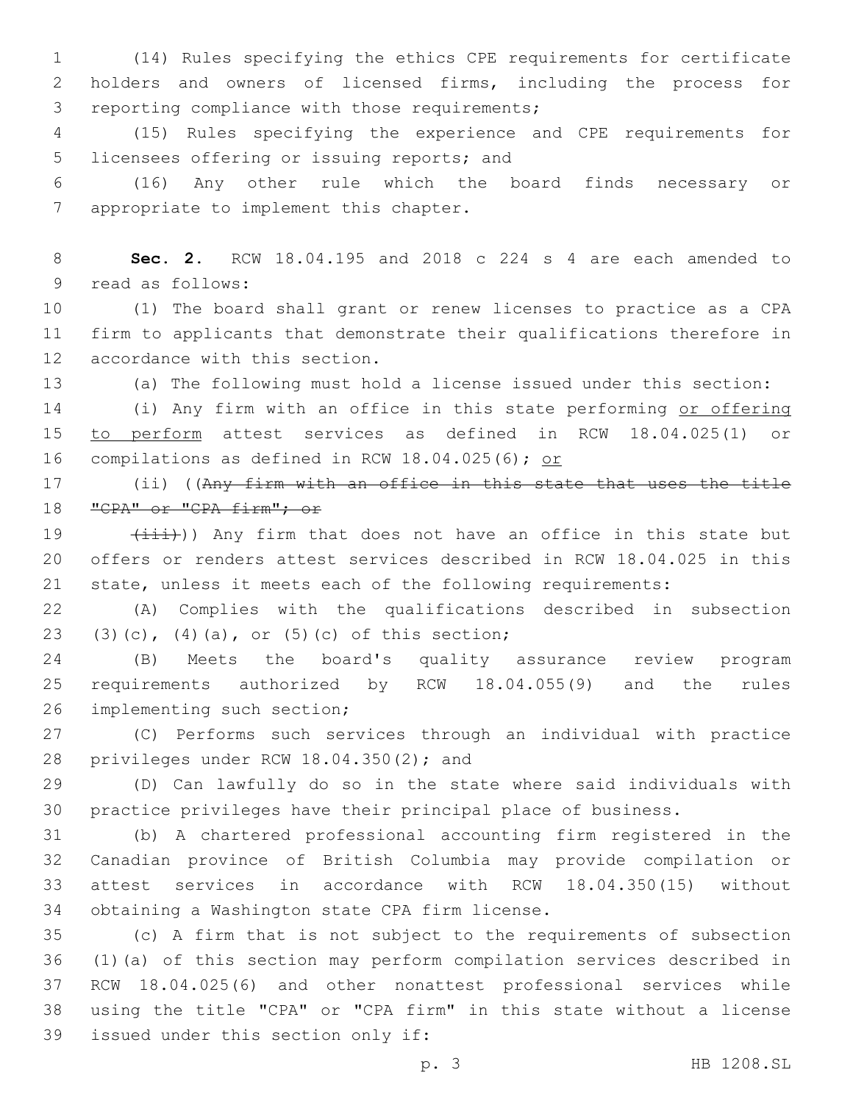(14) Rules specifying the ethics CPE requirements for certificate holders and owners of licensed firms, including the process for 3 reporting compliance with those requirements;

 (15) Rules specifying the experience and CPE requirements for 5 licensees offering or issuing reports; and

 (16) Any other rule which the board finds necessary or 7 appropriate to implement this chapter.

 **Sec. 2.** RCW 18.04.195 and 2018 c 224 s 4 are each amended to 9 read as follows:

 (1) The board shall grant or renew licenses to practice as a CPA firm to applicants that demonstrate their qualifications therefore in 12 accordance with this section.

(a) The following must hold a license issued under this section:

 (i) Any firm with an office in this state performing or offering to perform attest services as defined in RCW 18.04.025(1) or 16 compilations as defined in RCW 18.04.025(6); or

 (ii) ((Any firm with an office in this state that uses the title 18 "CPA" or "CPA firm"; or

19  $(iii)$ ) Any firm that does not have an office in this state but offers or renders attest services described in RCW 18.04.025 in this state, unless it meets each of the following requirements:

 (A) Complies with the qualifications described in subsection (3)(c), (4)(a), or (5)(c) of this section;

 (B) Meets the board's quality assurance review program requirements authorized by RCW 18.04.055(9) and the rules 26 implementing such section;

 (C) Performs such services through an individual with practice 28 privileges under RCW  $18.04.350(2)$ ; and

 (D) Can lawfully do so in the state where said individuals with practice privileges have their principal place of business.

 (b) A chartered professional accounting firm registered in the Canadian province of British Columbia may provide compilation or attest services in accordance with RCW 18.04.350(15) without 34 obtaining a Washington state CPA firm license.

 (c) A firm that is not subject to the requirements of subsection (1)(a) of this section may perform compilation services described in RCW 18.04.025(6) and other nonattest professional services while using the title "CPA" or "CPA firm" in this state without a license 39 issued under this section only if: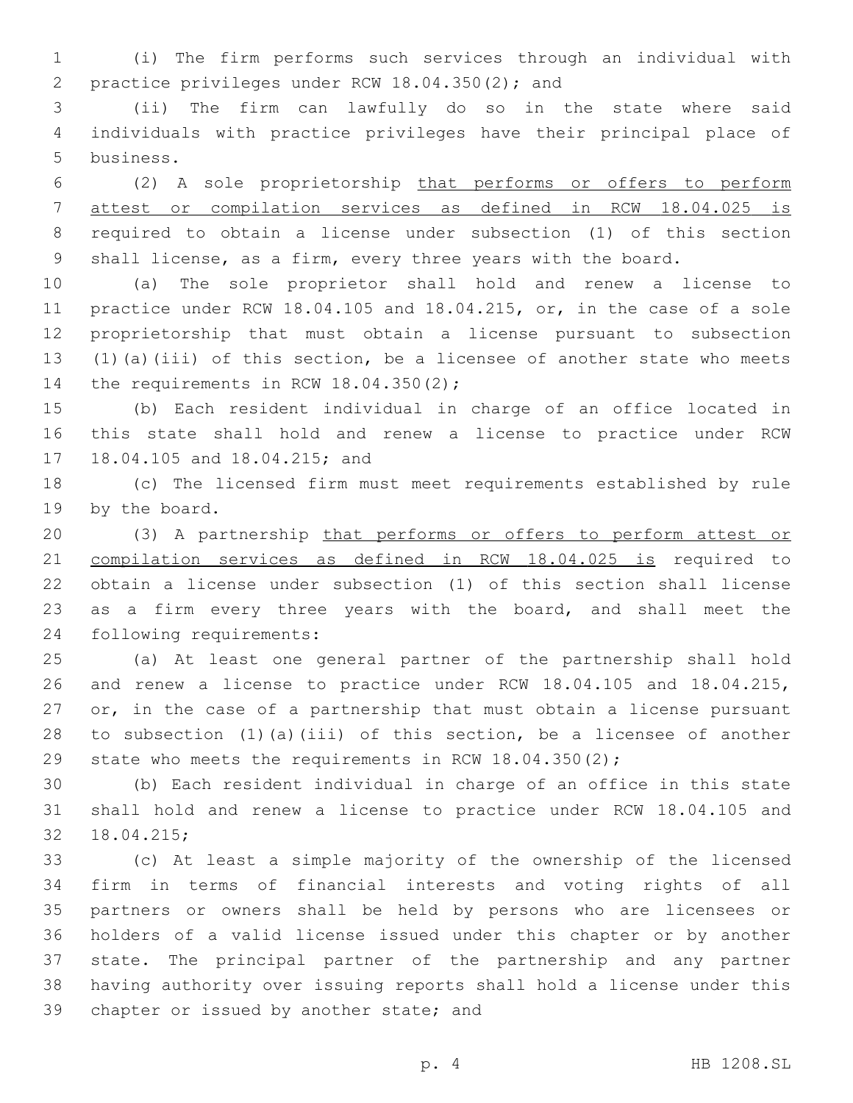(i) The firm performs such services through an individual with 2 practice privileges under RCW 18.04.350(2); and

 (ii) The firm can lawfully do so in the state where said individuals with practice privileges have their principal place of 5 business.

 (2) A sole proprietorship that performs or offers to perform attest or compilation services as defined in RCW 18.04.025 is required to obtain a license under subsection (1) of this section shall license, as a firm, every three years with the board.

 (a) The sole proprietor shall hold and renew a license to practice under RCW 18.04.105 and 18.04.215, or, in the case of a sole proprietorship that must obtain a license pursuant to subsection (1)(a)(iii) of this section, be a licensee of another state who meets 14 the requirements in RCW  $18.04.350(2)$ ;

 (b) Each resident individual in charge of an office located in this state shall hold and renew a license to practice under RCW 17 18.04.105 and 18.04.215; and

 (c) The licensed firm must meet requirements established by rule 19 by the board.

 (3) A partnership that performs or offers to perform attest or compilation services as defined in RCW 18.04.025 is required to obtain a license under subsection (1) of this section shall license 23 as a firm every three years with the board, and shall meet the 24 following requirements:

 (a) At least one general partner of the partnership shall hold and renew a license to practice under RCW 18.04.105 and 18.04.215, 27 or, in the case of a partnership that must obtain a license pursuant to subsection (1)(a)(iii) of this section, be a licensee of another state who meets the requirements in RCW 18.04.350(2);

 (b) Each resident individual in charge of an office in this state shall hold and renew a license to practice under RCW 18.04.105 and 32 18.04.215;

 (c) At least a simple majority of the ownership of the licensed firm in terms of financial interests and voting rights of all partners or owners shall be held by persons who are licensees or holders of a valid license issued under this chapter or by another state. The principal partner of the partnership and any partner having authority over issuing reports shall hold a license under this 39 chapter or issued by another state; and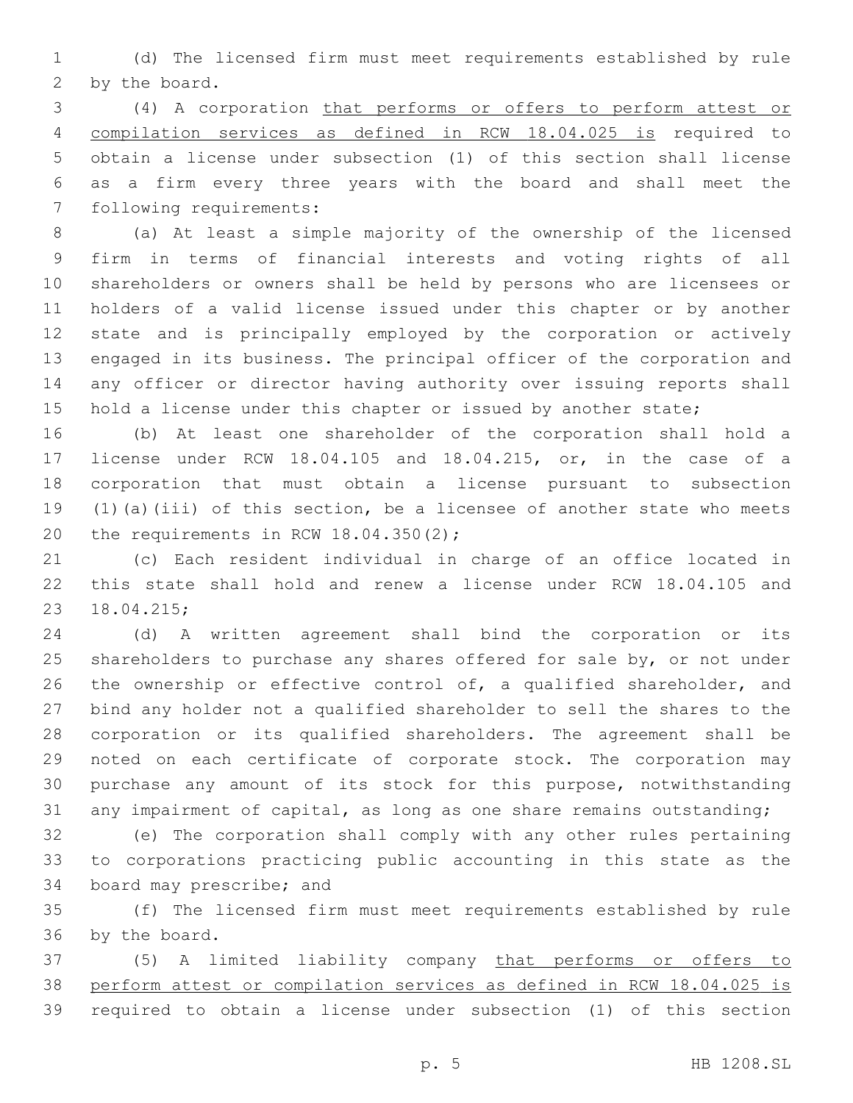(d) The licensed firm must meet requirements established by rule 2 by the board.

 (4) A corporation that performs or offers to perform attest or compilation services as defined in RCW 18.04.025 is required to obtain a license under subsection (1) of this section shall license as a firm every three years with the board and shall meet the 7 following requirements:

 (a) At least a simple majority of the ownership of the licensed firm in terms of financial interests and voting rights of all shareholders or owners shall be held by persons who are licensees or holders of a valid license issued under this chapter or by another state and is principally employed by the corporation or actively engaged in its business. The principal officer of the corporation and any officer or director having authority over issuing reports shall 15 hold a license under this chapter or issued by another state;

 (b) At least one shareholder of the corporation shall hold a license under RCW 18.04.105 and 18.04.215, or, in the case of a corporation that must obtain a license pursuant to subsection (1)(a)(iii) of this section, be a licensee of another state who meets 20 the requirements in RCW  $18.04.350(2)$ ;

 (c) Each resident individual in charge of an office located in this state shall hold and renew a license under RCW 18.04.105 and 18.04.215;23

 (d) A written agreement shall bind the corporation or its 25 shareholders to purchase any shares offered for sale by, or not under the ownership or effective control of, a qualified shareholder, and bind any holder not a qualified shareholder to sell the shares to the corporation or its qualified shareholders. The agreement shall be noted on each certificate of corporate stock. The corporation may purchase any amount of its stock for this purpose, notwithstanding any impairment of capital, as long as one share remains outstanding;

 (e) The corporation shall comply with any other rules pertaining to corporations practicing public accounting in this state as the 34 board may prescribe; and

 (f) The licensed firm must meet requirements established by rule 36 by the board.

 (5) A limited liability company that performs or offers to perform attest or compilation services as defined in RCW 18.04.025 is required to obtain a license under subsection (1) of this section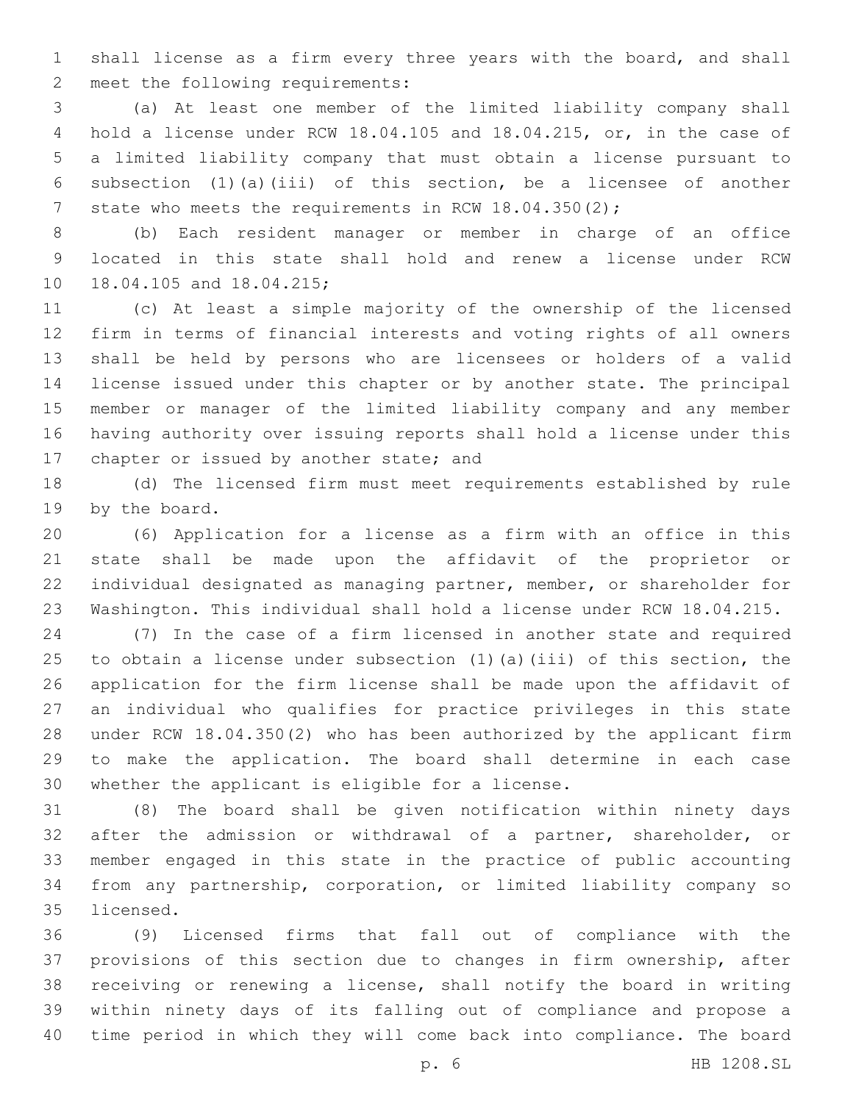shall license as a firm every three years with the board, and shall 2 meet the following requirements:

 (a) At least one member of the limited liability company shall hold a license under RCW 18.04.105 and 18.04.215, or, in the case of a limited liability company that must obtain a license pursuant to subsection (1)(a)(iii) of this section, be a licensee of another 7 state who meets the requirements in RCW 18.04.350(2);

 (b) Each resident manager or member in charge of an office located in this state shall hold and renew a license under RCW 10 18.04.105 and 18.04.215;

 (c) At least a simple majority of the ownership of the licensed firm in terms of financial interests and voting rights of all owners shall be held by persons who are licensees or holders of a valid license issued under this chapter or by another state. The principal member or manager of the limited liability company and any member having authority over issuing reports shall hold a license under this 17 chapter or issued by another state; and

 (d) The licensed firm must meet requirements established by rule 19 by the board.

 (6) Application for a license as a firm with an office in this state shall be made upon the affidavit of the proprietor or individual designated as managing partner, member, or shareholder for Washington. This individual shall hold a license under RCW 18.04.215.

 (7) In the case of a firm licensed in another state and required to obtain a license under subsection (1)(a)(iii) of this section, the application for the firm license shall be made upon the affidavit of an individual who qualifies for practice privileges in this state under RCW 18.04.350(2) who has been authorized by the applicant firm to make the application. The board shall determine in each case 30 whether the applicant is eligible for a license.

 (8) The board shall be given notification within ninety days after the admission or withdrawal of a partner, shareholder, or member engaged in this state in the practice of public accounting from any partnership, corporation, or limited liability company so 35 licensed.

 (9) Licensed firms that fall out of compliance with the provisions of this section due to changes in firm ownership, after receiving or renewing a license, shall notify the board in writing within ninety days of its falling out of compliance and propose a time period in which they will come back into compliance. The board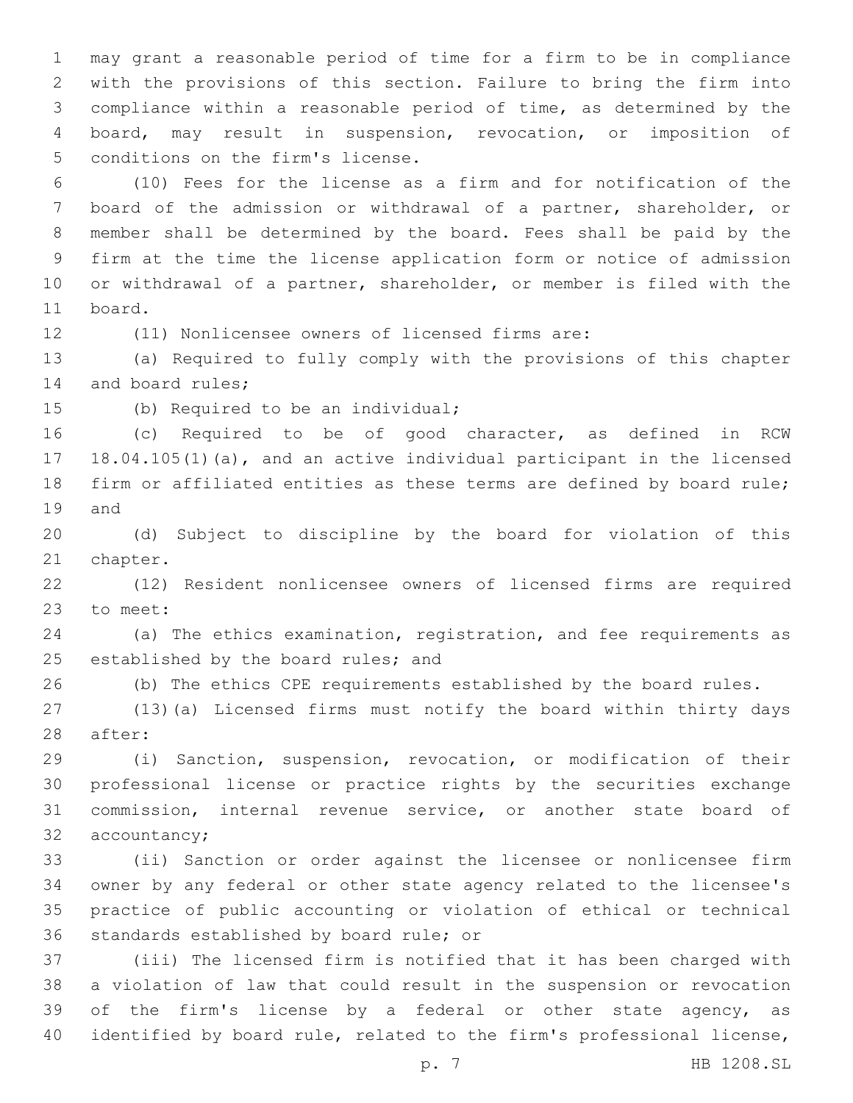may grant a reasonable period of time for a firm to be in compliance with the provisions of this section. Failure to bring the firm into compliance within a reasonable period of time, as determined by the board, may result in suspension, revocation, or imposition of 5 conditions on the firm's license.

 (10) Fees for the license as a firm and for notification of the board of the admission or withdrawal of a partner, shareholder, or member shall be determined by the board. Fees shall be paid by the firm at the time the license application form or notice of admission or withdrawal of a partner, shareholder, or member is filed with the 11 board.

(11) Nonlicensee owners of licensed firms are:

 (a) Required to fully comply with the provisions of this chapter 14 and board rules;

15 (b) Required to be an individual;

 (c) Required to be of good character, as defined in RCW 18.04.105(1)(a), and an active individual participant in the licensed firm or affiliated entities as these terms are defined by board rule; 19 and

 (d) Subject to discipline by the board for violation of this 21 chapter.

 (12) Resident nonlicensee owners of licensed firms are required 23 to meet:

 (a) The ethics examination, registration, and fee requirements as 25 established by the board rules; and

(b) The ethics CPE requirements established by the board rules.

 (13)(a) Licensed firms must notify the board within thirty days 28 after:

 (i) Sanction, suspension, revocation, or modification of their professional license or practice rights by the securities exchange commission, internal revenue service, or another state board of 32 accountancy;

 (ii) Sanction or order against the licensee or nonlicensee firm owner by any federal or other state agency related to the licensee's practice of public accounting or violation of ethical or technical 36 standards established by board rule; or

 (iii) The licensed firm is notified that it has been charged with a violation of law that could result in the suspension or revocation 39 of the firm's license by a federal or other state agency, as identified by board rule, related to the firm's professional license,

p. 7 HB 1208.SL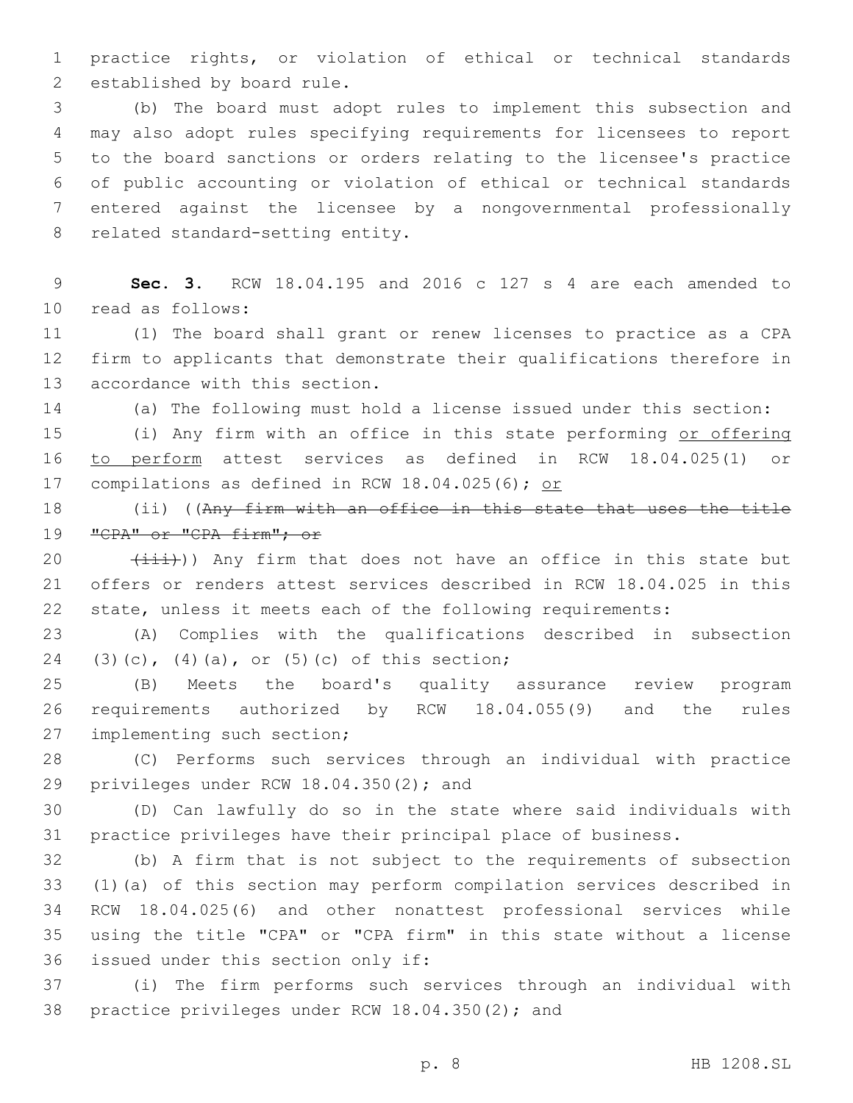practice rights, or violation of ethical or technical standards 2 established by board rule.

 (b) The board must adopt rules to implement this subsection and may also adopt rules specifying requirements for licensees to report to the board sanctions or orders relating to the licensee's practice of public accounting or violation of ethical or technical standards entered against the licensee by a nongovernmental professionally 8 related standard-setting entity.

 **Sec. 3.** RCW 18.04.195 and 2016 c 127 s 4 are each amended to 10 read as follows:

 (1) The board shall grant or renew licenses to practice as a CPA firm to applicants that demonstrate their qualifications therefore in 13 accordance with this section.

(a) The following must hold a license issued under this section:

 (i) Any firm with an office in this state performing or offering to perform attest services as defined in RCW 18.04.025(1) or compilations as defined in RCW 18.04.025(6); or

 (ii) ((Any firm with an office in this state that uses the title 19 "CPA" or "CPA firm"; or

 $(iii)$ ) Any firm that does not have an office in this state but offers or renders attest services described in RCW 18.04.025 in this state, unless it meets each of the following requirements:

 (A) Complies with the qualifications described in subsection 24 (3)(c), (4)(a), or (5)(c) of this section;

 (B) Meets the board's quality assurance review program requirements authorized by RCW 18.04.055(9) and the rules 27 implementing such section;

 (C) Performs such services through an individual with practice 29 privileges under RCW  $18.04.350(2)$ ; and

 (D) Can lawfully do so in the state where said individuals with practice privileges have their principal place of business.

 (b) A firm that is not subject to the requirements of subsection (1)(a) of this section may perform compilation services described in RCW 18.04.025(6) and other nonattest professional services while using the title "CPA" or "CPA firm" in this state without a license 36 issued under this section only if:

 (i) The firm performs such services through an individual with 38 practice privileges under RCW 18.04.350(2); and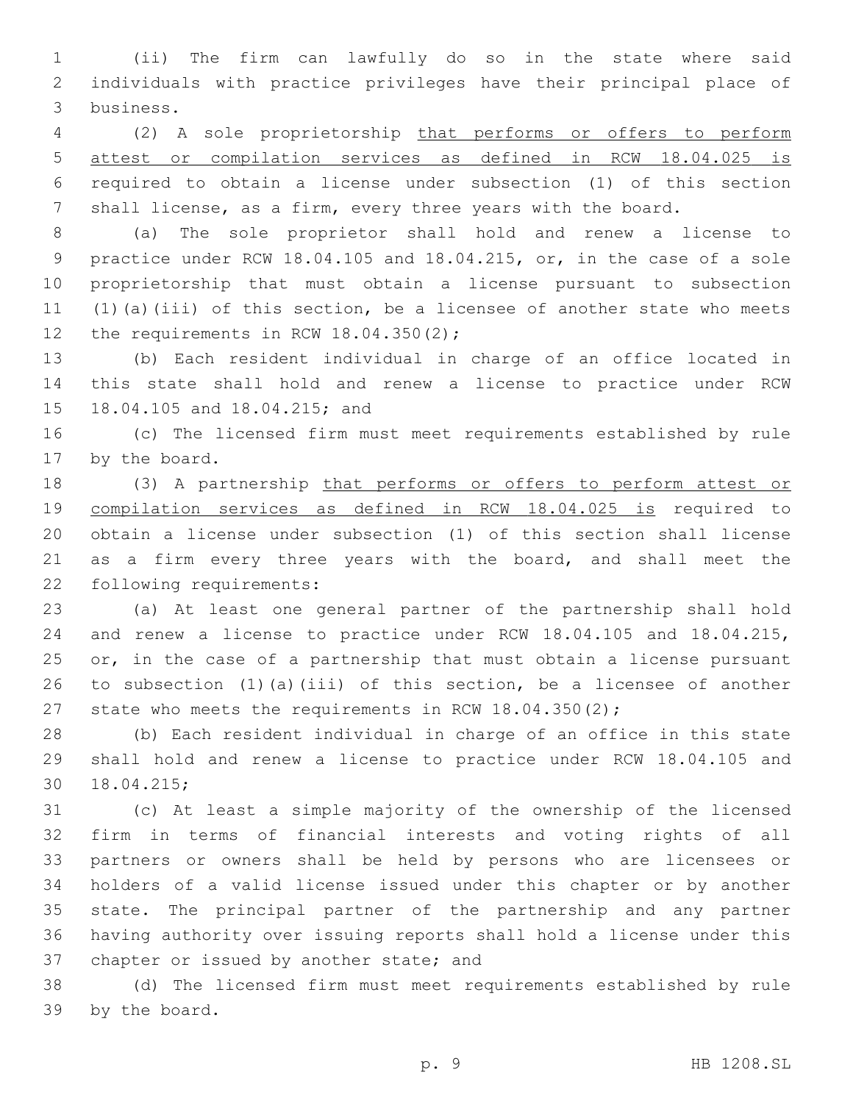(ii) The firm can lawfully do so in the state where said individuals with practice privileges have their principal place of 3 business.

 (2) A sole proprietorship that performs or offers to perform attest or compilation services as defined in RCW 18.04.025 is required to obtain a license under subsection (1) of this section shall license, as a firm, every three years with the board.

 (a) The sole proprietor shall hold and renew a license to practice under RCW 18.04.105 and 18.04.215, or, in the case of a sole proprietorship that must obtain a license pursuant to subsection (1)(a)(iii) of this section, be a licensee of another state who meets 12 the requirements in RCW  $18.04.350(2)$ ;

 (b) Each resident individual in charge of an office located in this state shall hold and renew a license to practice under RCW 15 18.04.105 and 18.04.215; and

 (c) The licensed firm must meet requirements established by rule 17 by the board.

 (3) A partnership that performs or offers to perform attest or compilation services as defined in RCW 18.04.025 is required to obtain a license under subsection (1) of this section shall license 21 as a firm every three years with the board, and shall meet the 22 following requirements:

 (a) At least one general partner of the partnership shall hold and renew a license to practice under RCW 18.04.105 and 18.04.215, 25 or, in the case of a partnership that must obtain a license pursuant to subsection (1)(a)(iii) of this section, be a licensee of another 27 state who meets the requirements in RCW 18.04.350(2);

 (b) Each resident individual in charge of an office in this state shall hold and renew a license to practice under RCW 18.04.105 and 18.04.215;30

 (c) At least a simple majority of the ownership of the licensed firm in terms of financial interests and voting rights of all partners or owners shall be held by persons who are licensees or holders of a valid license issued under this chapter or by another state. The principal partner of the partnership and any partner having authority over issuing reports shall hold a license under this 37 chapter or issued by another state; and

 (d) The licensed firm must meet requirements established by rule 39 by the board.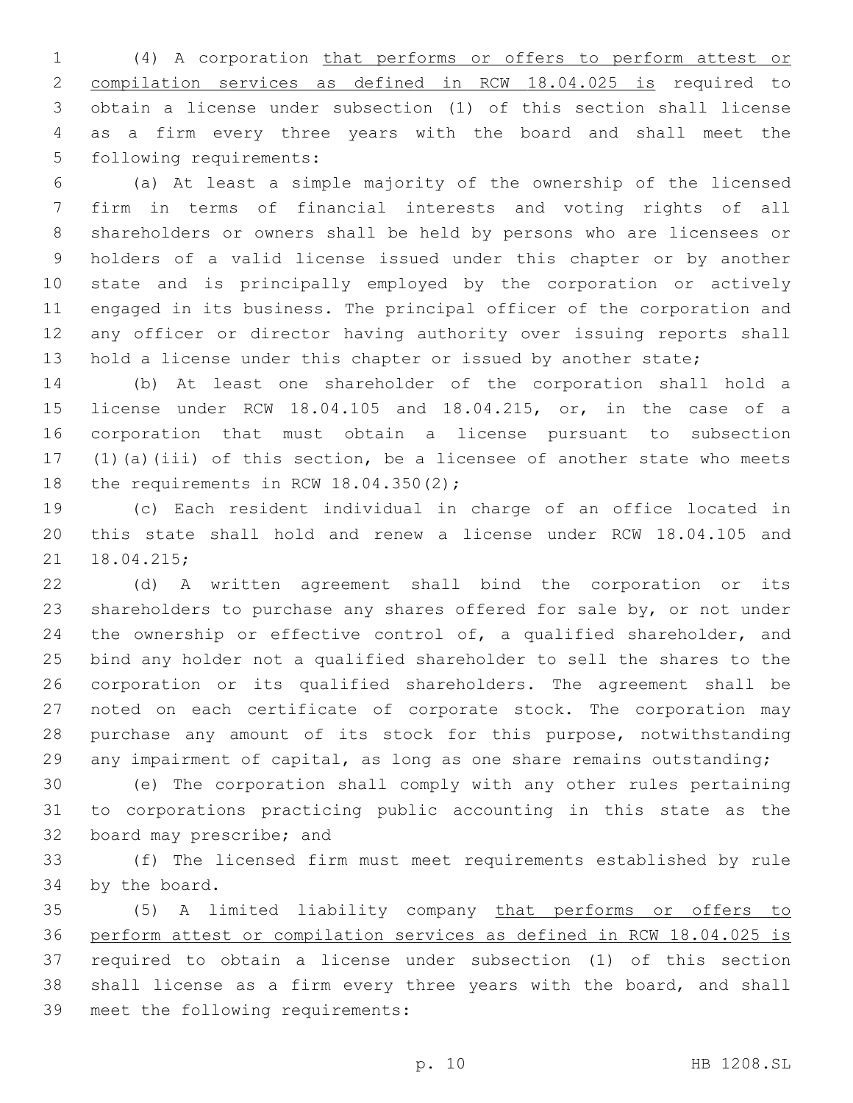(4) A corporation that performs or offers to perform attest or compilation services as defined in RCW 18.04.025 is required to obtain a license under subsection (1) of this section shall license as a firm every three years with the board and shall meet the 5 following requirements:

 (a) At least a simple majority of the ownership of the licensed firm in terms of financial interests and voting rights of all shareholders or owners shall be held by persons who are licensees or holders of a valid license issued under this chapter or by another state and is principally employed by the corporation or actively engaged in its business. The principal officer of the corporation and any officer or director having authority over issuing reports shall 13 hold a license under this chapter or issued by another state;

 (b) At least one shareholder of the corporation shall hold a license under RCW 18.04.105 and 18.04.215, or, in the case of a corporation that must obtain a license pursuant to subsection (1)(a)(iii) of this section, be a licensee of another state who meets 18 the requirements in RCW  $18.04.350(2)$ ;

 (c) Each resident individual in charge of an office located in this state shall hold and renew a license under RCW 18.04.105 and 21 18.04.215;

 (d) A written agreement shall bind the corporation or its shareholders to purchase any shares offered for sale by, or not under 24 the ownership or effective control of, a qualified shareholder, and bind any holder not a qualified shareholder to sell the shares to the corporation or its qualified shareholders. The agreement shall be noted on each certificate of corporate stock. The corporation may purchase any amount of its stock for this purpose, notwithstanding any impairment of capital, as long as one share remains outstanding;

 (e) The corporation shall comply with any other rules pertaining to corporations practicing public accounting in this state as the 32 board may prescribe; and

 (f) The licensed firm must meet requirements established by rule 34 by the board.

 (5) A limited liability company that performs or offers to perform attest or compilation services as defined in RCW 18.04.025 is required to obtain a license under subsection (1) of this section shall license as a firm every three years with the board, and shall 39 meet the following requirements:

p. 10 HB 1208.SL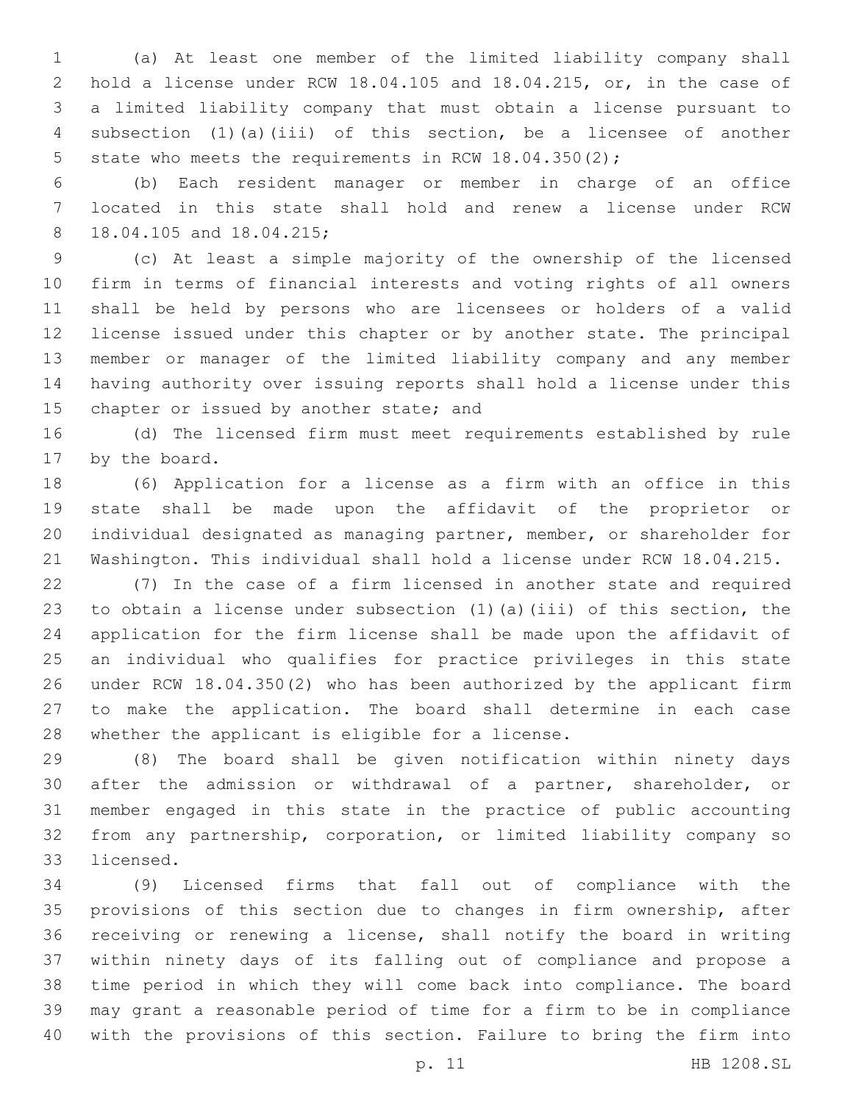(a) At least one member of the limited liability company shall hold a license under RCW 18.04.105 and 18.04.215, or, in the case of a limited liability company that must obtain a license pursuant to subsection (1)(a)(iii) of this section, be a licensee of another 5 state who meets the requirements in RCW 18.04.350(2);

 (b) Each resident manager or member in charge of an office located in this state shall hold and renew a license under RCW 8 18.04.105 and 18.04.215;

 (c) At least a simple majority of the ownership of the licensed firm in terms of financial interests and voting rights of all owners shall be held by persons who are licensees or holders of a valid license issued under this chapter or by another state. The principal member or manager of the limited liability company and any member having authority over issuing reports shall hold a license under this 15 chapter or issued by another state; and

 (d) The licensed firm must meet requirements established by rule 17 by the board.

 (6) Application for a license as a firm with an office in this state shall be made upon the affidavit of the proprietor or individual designated as managing partner, member, or shareholder for Washington. This individual shall hold a license under RCW 18.04.215.

 (7) In the case of a firm licensed in another state and required to obtain a license under subsection (1)(a)(iii) of this section, the application for the firm license shall be made upon the affidavit of an individual who qualifies for practice privileges in this state under RCW 18.04.350(2) who has been authorized by the applicant firm to make the application. The board shall determine in each case 28 whether the applicant is eligible for a license.

 (8) The board shall be given notification within ninety days after the admission or withdrawal of a partner, shareholder, or member engaged in this state in the practice of public accounting from any partnership, corporation, or limited liability company so 33 licensed.

 (9) Licensed firms that fall out of compliance with the provisions of this section due to changes in firm ownership, after receiving or renewing a license, shall notify the board in writing within ninety days of its falling out of compliance and propose a time period in which they will come back into compliance. The board may grant a reasonable period of time for a firm to be in compliance with the provisions of this section. Failure to bring the firm into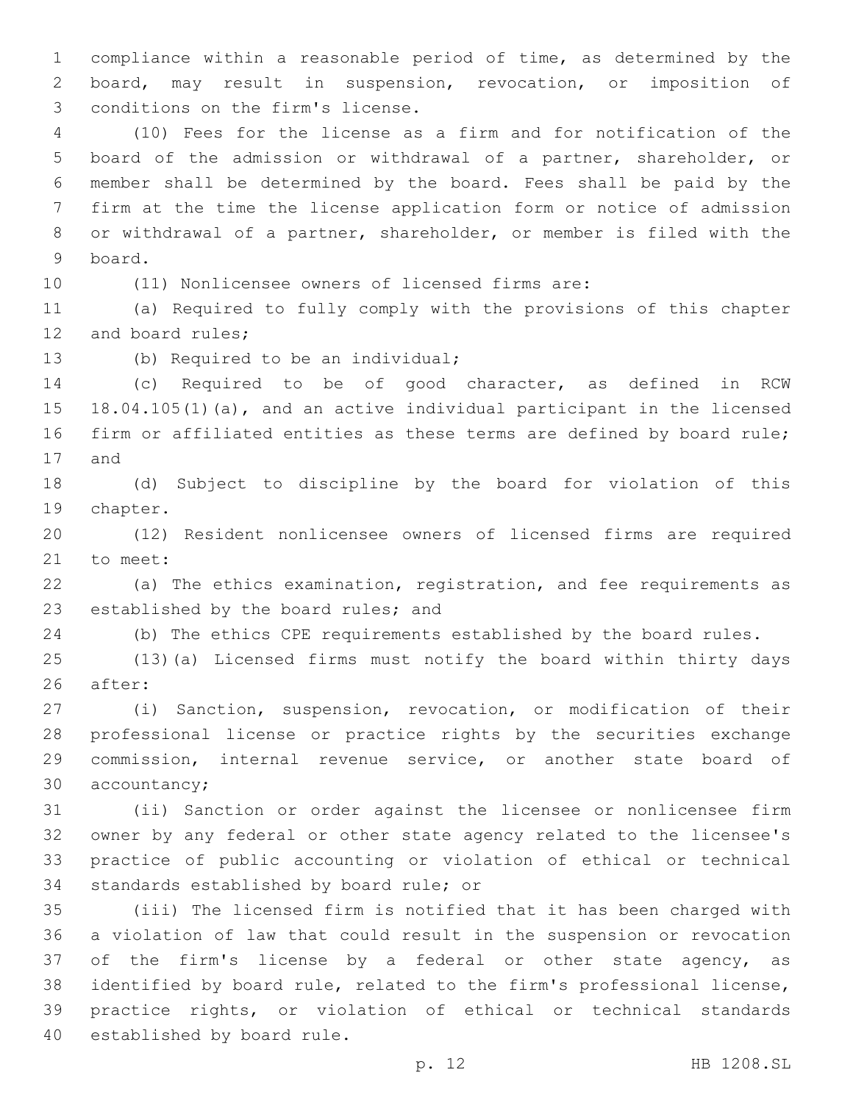compliance within a reasonable period of time, as determined by the board, may result in suspension, revocation, or imposition of 3 conditions on the firm's license.

 (10) Fees for the license as a firm and for notification of the board of the admission or withdrawal of a partner, shareholder, or member shall be determined by the board. Fees shall be paid by the firm at the time the license application form or notice of admission or withdrawal of a partner, shareholder, or member is filed with the board.9

(11) Nonlicensee owners of licensed firms are:

 (a) Required to fully comply with the provisions of this chapter 12 and board rules;

13 (b) Required to be an individual;

 (c) Required to be of good character, as defined in RCW 18.04.105(1)(a), and an active individual participant in the licensed firm or affiliated entities as these terms are defined by board rule; 17 and

 (d) Subject to discipline by the board for violation of this 19 chapter.

 (12) Resident nonlicensee owners of licensed firms are required 21 to meet:

 (a) The ethics examination, registration, and fee requirements as 23 established by the board rules; and

(b) The ethics CPE requirements established by the board rules.

 (13)(a) Licensed firms must notify the board within thirty days 26 after:

 (i) Sanction, suspension, revocation, or modification of their professional license or practice rights by the securities exchange commission, internal revenue service, or another state board of 30 accountancy;

 (ii) Sanction or order against the licensee or nonlicensee firm owner by any federal or other state agency related to the licensee's practice of public accounting or violation of ethical or technical 34 standards established by board rule; or

 (iii) The licensed firm is notified that it has been charged with a violation of law that could result in the suspension or revocation of the firm's license by a federal or other state agency, as identified by board rule, related to the firm's professional license, practice rights, or violation of ethical or technical standards 40 established by board rule.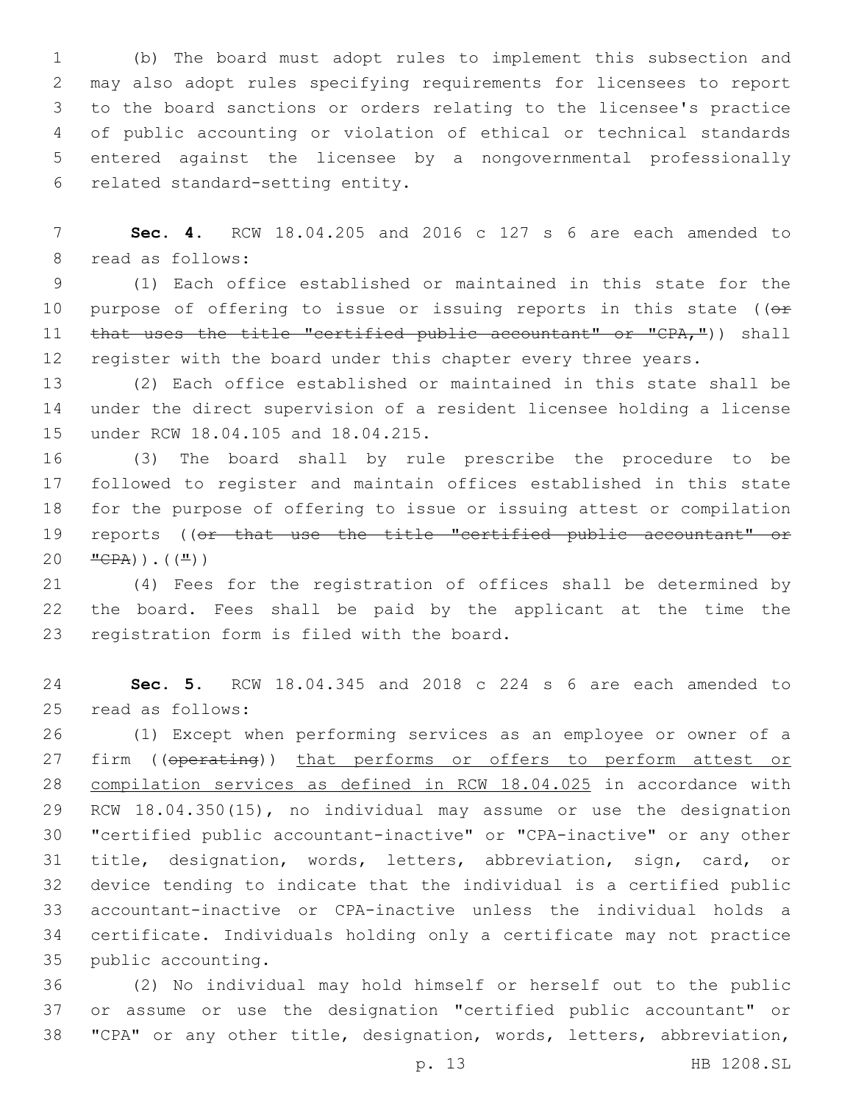(b) The board must adopt rules to implement this subsection and may also adopt rules specifying requirements for licensees to report to the board sanctions or orders relating to the licensee's practice of public accounting or violation of ethical or technical standards entered against the licensee by a nongovernmental professionally 6 related standard-setting entity.

 **Sec. 4.** RCW 18.04.205 and 2016 c 127 s 6 are each amended to 8 read as follows:

 (1) Each office established or maintained in this state for the 10 purpose of offering to issue or issuing reports in this state ( $(e<sup>F</sup>)$ 11 that uses the title "certified public accountant" or "CPA,")) shall register with the board under this chapter every three years.

 (2) Each office established or maintained in this state shall be under the direct supervision of a resident licensee holding a license 15 under RCW 18.04.105 and 18.04.215.

 (3) The board shall by rule prescribe the procedure to be followed to register and maintain offices established in this state for the purpose of offering to issue or issuing attest or compilation reports ((or that use the title "certified public accountant" or  $20 \frac{\text{TCPA}}{\text{CPA}}$ ). ( $(\frac{\text{II}}{\text{C}})$ )

 (4) Fees for the registration of offices shall be determined by the board. Fees shall be paid by the applicant at the time the 23 registration form is filed with the board.

 **Sec. 5.** RCW 18.04.345 and 2018 c 224 s 6 are each amended to 25 read as follows:

 (1) Except when performing services as an employee or owner of a 27 firm ((operating)) that performs or offers to perform attest or compilation services as defined in RCW 18.04.025 in accordance with RCW 18.04.350(15), no individual may assume or use the designation "certified public accountant-inactive" or "CPA-inactive" or any other title, designation, words, letters, abbreviation, sign, card, or device tending to indicate that the individual is a certified public accountant-inactive or CPA-inactive unless the individual holds a certificate. Individuals holding only a certificate may not practice 35 public accounting.

 (2) No individual may hold himself or herself out to the public or assume or use the designation "certified public accountant" or "CPA" or any other title, designation, words, letters, abbreviation,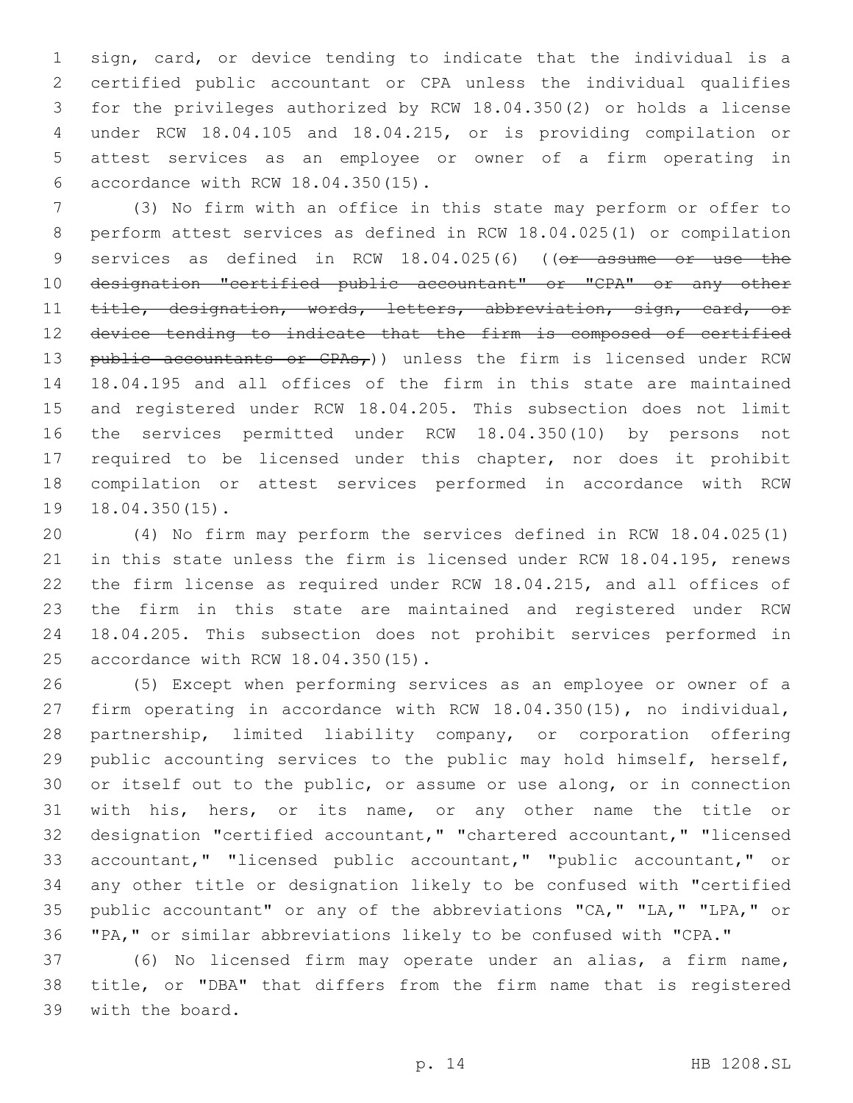sign, card, or device tending to indicate that the individual is a certified public accountant or CPA unless the individual qualifies for the privileges authorized by RCW 18.04.350(2) or holds a license under RCW 18.04.105 and 18.04.215, or is providing compilation or attest services as an employee or owner of a firm operating in accordance with RCW 18.04.350(15).6

 (3) No firm with an office in this state may perform or offer to perform attest services as defined in RCW 18.04.025(1) or compilation 9 services as defined in RCW 18.04.025(6) ((or assume or use the designation "certified public accountant" or "CPA" or any other title, designation, words, letters, abbreviation, sign, card, or device tending to indicate that the firm is composed of certified 13 public accountants or  $CPAs<sub>r</sub>$ )) unless the firm is licensed under RCW 18.04.195 and all offices of the firm in this state are maintained and registered under RCW 18.04.205. This subsection does not limit the services permitted under RCW 18.04.350(10) by persons not required to be licensed under this chapter, nor does it prohibit compilation or attest services performed in accordance with RCW 18.04.350(15).

 (4) No firm may perform the services defined in RCW 18.04.025(1) in this state unless the firm is licensed under RCW 18.04.195, renews the firm license as required under RCW 18.04.215, and all offices of the firm in this state are maintained and registered under RCW 18.04.205. This subsection does not prohibit services performed in 25 accordance with RCW 18.04.350(15).

 (5) Except when performing services as an employee or owner of a firm operating in accordance with RCW 18.04.350(15), no individual, partnership, limited liability company, or corporation offering public accounting services to the public may hold himself, herself, or itself out to the public, or assume or use along, or in connection with his, hers, or its name, or any other name the title or designation "certified accountant," "chartered accountant," "licensed accountant," "licensed public accountant," "public accountant," or any other title or designation likely to be confused with "certified public accountant" or any of the abbreviations "CA," "LA," "LPA," or "PA," or similar abbreviations likely to be confused with "CPA."

 (6) No licensed firm may operate under an alias, a firm name, title, or "DBA" that differs from the firm name that is registered 39 with the board.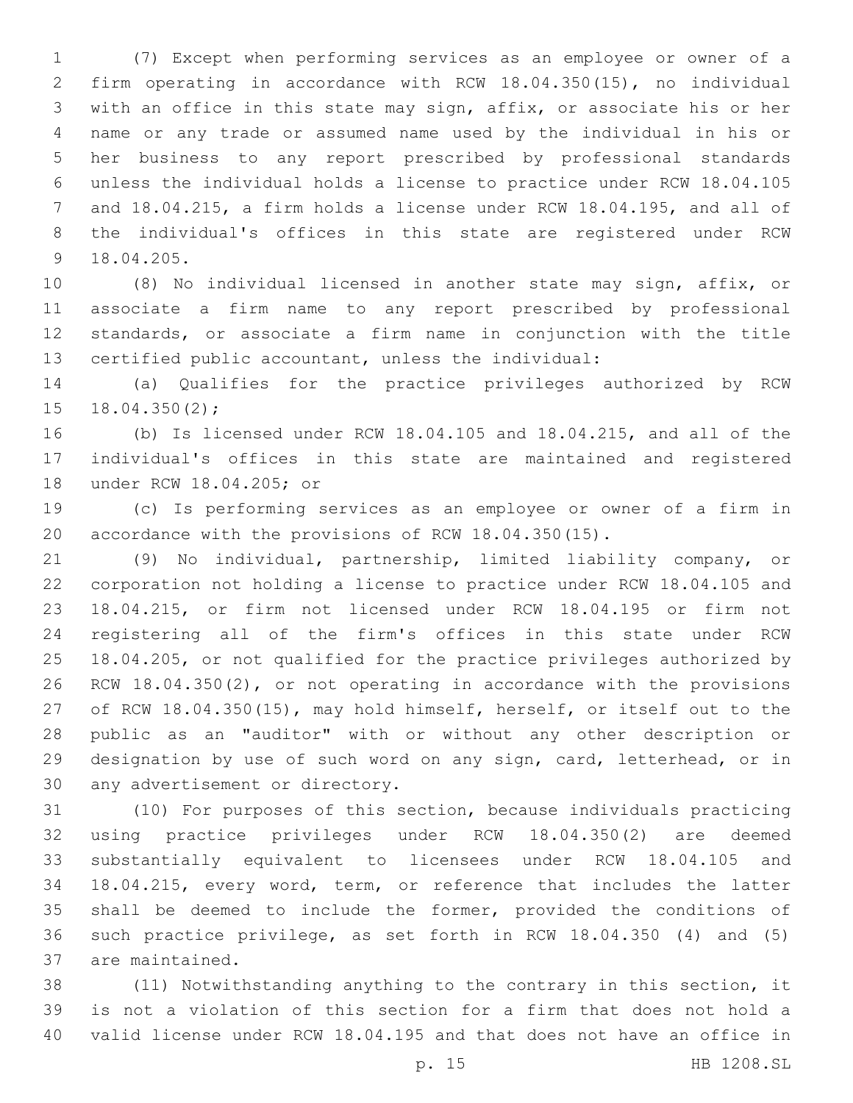(7) Except when performing services as an employee or owner of a firm operating in accordance with RCW 18.04.350(15), no individual with an office in this state may sign, affix, or associate his or her name or any trade or assumed name used by the individual in his or her business to any report prescribed by professional standards unless the individual holds a license to practice under RCW 18.04.105 and 18.04.215, a firm holds a license under RCW 18.04.195, and all of the individual's offices in this state are registered under RCW 9 18.04.205.

 (8) No individual licensed in another state may sign, affix, or associate a firm name to any report prescribed by professional standards, or associate a firm name in conjunction with the title certified public accountant, unless the individual:

 (a) Qualifies for the practice privileges authorized by RCW  $18.04.350(2)$ ;

 (b) Is licensed under RCW 18.04.105 and 18.04.215, and all of the individual's offices in this state are maintained and registered 18 under RCW 18.04.205; or

 (c) Is performing services as an employee or owner of a firm in accordance with the provisions of RCW 18.04.350(15).

 (9) No individual, partnership, limited liability company, or corporation not holding a license to practice under RCW 18.04.105 and 18.04.215, or firm not licensed under RCW 18.04.195 or firm not registering all of the firm's offices in this state under RCW 18.04.205, or not qualified for the practice privileges authorized by RCW 18.04.350(2), or not operating in accordance with the provisions of RCW 18.04.350(15), may hold himself, herself, or itself out to the public as an "auditor" with or without any other description or designation by use of such word on any sign, card, letterhead, or in 30 any advertisement or directory.

 (10) For purposes of this section, because individuals practicing using practice privileges under RCW 18.04.350(2) are deemed substantially equivalent to licensees under RCW 18.04.105 and 18.04.215, every word, term, or reference that includes the latter shall be deemed to include the former, provided the conditions of such practice privilege, as set forth in RCW 18.04.350 (4) and (5) 37 are maintained.

 (11) Notwithstanding anything to the contrary in this section, it is not a violation of this section for a firm that does not hold a valid license under RCW 18.04.195 and that does not have an office in

p. 15 HB 1208.SL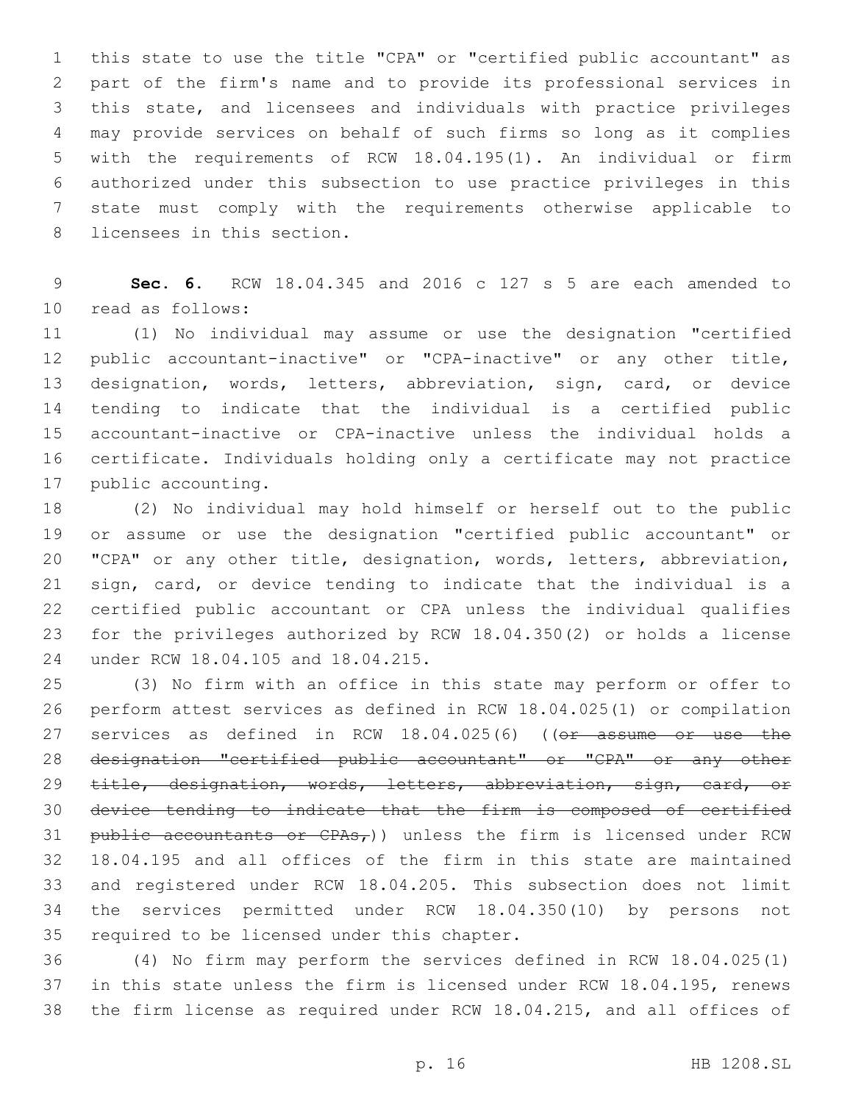this state to use the title "CPA" or "certified public accountant" as part of the firm's name and to provide its professional services in this state, and licensees and individuals with practice privileges may provide services on behalf of such firms so long as it complies with the requirements of RCW 18.04.195(1). An individual or firm authorized under this subsection to use practice privileges in this state must comply with the requirements otherwise applicable to 8 licensees in this section.

 **Sec. 6.** RCW 18.04.345 and 2016 c 127 s 5 are each amended to 10 read as follows:

 (1) No individual may assume or use the designation "certified public accountant-inactive" or "CPA-inactive" or any other title, designation, words, letters, abbreviation, sign, card, or device tending to indicate that the individual is a certified public accountant-inactive or CPA-inactive unless the individual holds a certificate. Individuals holding only a certificate may not practice 17 public accounting.

 (2) No individual may hold himself or herself out to the public or assume or use the designation "certified public accountant" or "CPA" or any other title, designation, words, letters, abbreviation, sign, card, or device tending to indicate that the individual is a certified public accountant or CPA unless the individual qualifies for the privileges authorized by RCW 18.04.350(2) or holds a license 24 under RCW 18.04.105 and 18.04.215.

 (3) No firm with an office in this state may perform or offer to perform attest services as defined in RCW 18.04.025(1) or compilation 27 services as defined in RCW 18.04.025(6) ((or assume or use the designation "certified public accountant" or "CPA" or any other 29 title, designation, words, letters, abbreviation, sign, card, or device tending to indicate that the firm is composed of certified 31 public accountants or  $CPAs<sub>r</sub>$ )) unless the firm is licensed under RCW 18.04.195 and all offices of the firm in this state are maintained and registered under RCW 18.04.205. This subsection does not limit the services permitted under RCW 18.04.350(10) by persons not 35 required to be licensed under this chapter.

 (4) No firm may perform the services defined in RCW 18.04.025(1) in this state unless the firm is licensed under RCW 18.04.195, renews the firm license as required under RCW 18.04.215, and all offices of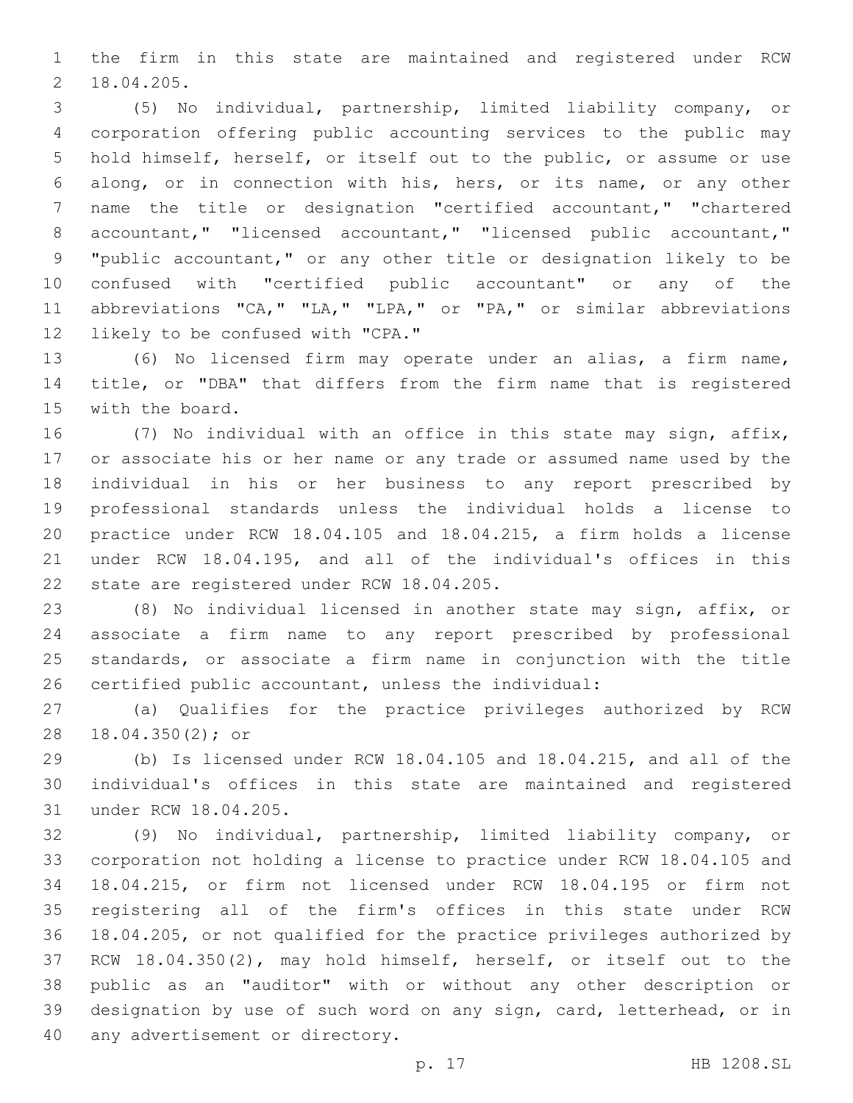the firm in this state are maintained and registered under RCW 18.04.205.2

 (5) No individual, partnership, limited liability company, or corporation offering public accounting services to the public may hold himself, herself, or itself out to the public, or assume or use along, or in connection with his, hers, or its name, or any other name the title or designation "certified accountant," "chartered accountant," "licensed accountant," "licensed public accountant," "public accountant," or any other title or designation likely to be confused with "certified public accountant" or any of the 11 abbreviations "CA," "LA," "LPA," or "PA," or similar abbreviations 12 likely to be confused with "CPA."

 (6) No licensed firm may operate under an alias, a firm name, title, or "DBA" that differs from the firm name that is registered 15 with the board.

 (7) No individual with an office in this state may sign, affix, or associate his or her name or any trade or assumed name used by the individual in his or her business to any report prescribed by professional standards unless the individual holds a license to practice under RCW 18.04.105 and 18.04.215, a firm holds a license under RCW 18.04.195, and all of the individual's offices in this 22 state are registered under RCW 18.04.205.

 (8) No individual licensed in another state may sign, affix, or associate a firm name to any report prescribed by professional standards, or associate a firm name in conjunction with the title certified public accountant, unless the individual:

 (a) Qualifies for the practice privileges authorized by RCW 28 18.04.350(2); or

 (b) Is licensed under RCW 18.04.105 and 18.04.215, and all of the individual's offices in this state are maintained and registered 31 under RCW 18.04.205.

 (9) No individual, partnership, limited liability company, or corporation not holding a license to practice under RCW 18.04.105 and 18.04.215, or firm not licensed under RCW 18.04.195 or firm not registering all of the firm's offices in this state under RCW 18.04.205, or not qualified for the practice privileges authorized by RCW 18.04.350(2), may hold himself, herself, or itself out to the public as an "auditor" with or without any other description or designation by use of such word on any sign, card, letterhead, or in 40 any advertisement or directory.